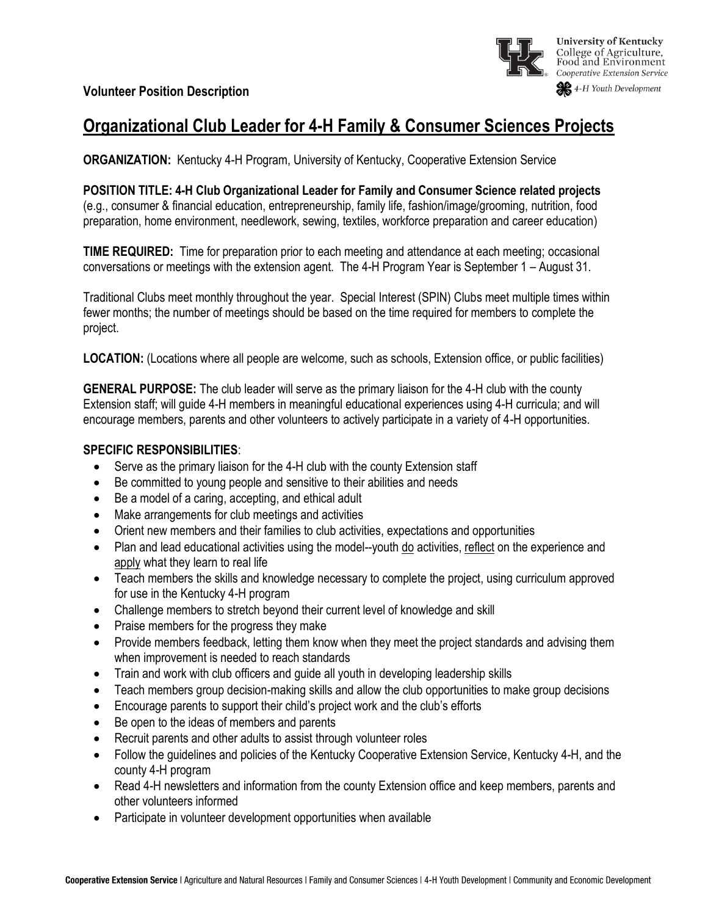

# **Organizational Club Leader for 4-H Family & Consumer Sciences Projects**

**ORGANIZATION:** Kentucky 4-H Program, University of Kentucky, Cooperative Extension Service

**POSITION TITLE: 4-H Club Organizational Leader for Family and Consumer Science related projects** (e.g., consumer & financial education, entrepreneurship, family life, fashion/image/grooming, nutrition, food preparation, home environment, needlework, sewing, textiles, workforce preparation and career education)

**TIME REQUIRED:** Time for preparation prior to each meeting and attendance at each meeting; occasional conversations or meetings with the extension agent. The 4-H Program Year is September 1 – August 31.

Traditional Clubs meet monthly throughout the year. Special Interest (SPIN) Clubs meet multiple times within fewer months; the number of meetings should be based on the time required for members to complete the project.

**LOCATION:** (Locations where all people are welcome, such as schools, Extension office, or public facilities)

**GENERAL PURPOSE:** The club leader will serve as the primary liaison for the 4-H club with the county Extension staff; will guide 4-H members in meaningful educational experiences using 4-H curricula; and will encourage members, parents and other volunteers to actively participate in a variety of 4-H opportunities.

## **SPECIFIC RESPONSIBILITIES**:

- Serve as the primary liaison for the 4-H club with the county Extension staff
- Be committed to young people and sensitive to their abilities and needs
- Be a model of a caring, accepting, and ethical adult
- Make arrangements for club meetings and activities
- Orient new members and their families to club activities, expectations and opportunities
- Plan and lead educational activities using the model--youth do activities, reflect on the experience and apply what they learn to real life
- Teach members the skills and knowledge necessary to complete the project, using curriculum approved for use in the Kentucky 4-H program
- Challenge members to stretch beyond their current level of knowledge and skill
- Praise members for the progress they make
- Provide members feedback, letting them know when they meet the project standards and advising them when improvement is needed to reach standards
- Train and work with club officers and guide all youth in developing leadership skills
- Teach members group decision-making skills and allow the club opportunities to make group decisions
- Encourage parents to support their child's project work and the club's efforts
- Be open to the ideas of members and parents
- Recruit parents and other adults to assist through volunteer roles
- Follow the guidelines and policies of the Kentucky Cooperative Extension Service, Kentucky 4-H, and the county 4-H program
- Read 4-H newsletters and information from the county Extension office and keep members, parents and other volunteers informed
- Participate in volunteer development opportunities when available